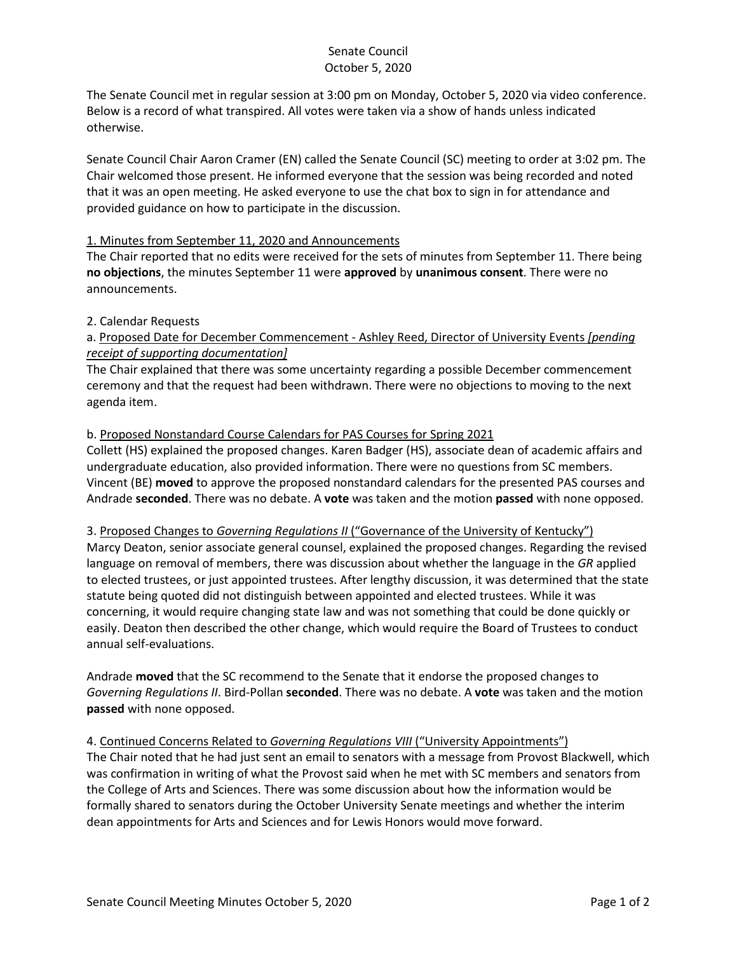## Senate Council October 5, 2020

The Senate Council met in regular session at 3:00 pm on Monday, October 5, 2020 via video conference. Below is a record of what transpired. All votes were taken via a show of hands unless indicated otherwise.

Senate Council Chair Aaron Cramer (EN) called the Senate Council (SC) meeting to order at 3:02 pm. The Chair welcomed those present. He informed everyone that the session was being recorded and noted that it was an open meeting. He asked everyone to use the chat box to sign in for attendance and provided guidance on how to participate in the discussion.

## 1. Minutes from September 11, 2020 and Announcements

The Chair reported that no edits were received for the sets of minutes from September 11. There being **no objections**, the minutes September 11 were **approved** by **unanimous consent**. There were no announcements.

## 2. Calendar Requests

# a. Proposed Date for December Commencement - Ashley Reed, Director of University Events *[pending receipt of supporting documentation]*

The Chair explained that there was some uncertainty regarding a possible December commencement ceremony and that the request had been withdrawn. There were no objections to moving to the next agenda item.

## b. Proposed Nonstandard Course Calendars for PAS Courses for Spring 2021

Collett (HS) explained the proposed changes. Karen Badger (HS), associate dean of academic affairs and undergraduate education, also provided information. There were no questions from SC members. Vincent (BE) **moved** to approve the proposed nonstandard calendars for the presented PAS courses and Andrade **seconded**. There was no debate. A **vote** was taken and the motion **passed** with none opposed.

#### 3. Proposed Changes to *Governing Regulations II* ("Governance of the University of Kentucky")

Marcy Deaton, senior associate general counsel, explained the proposed changes. Regarding the revised language on removal of members, there was discussion about whether the language in the *GR* applied to elected trustees, or just appointed trustees. After lengthy discussion, it was determined that the state statute being quoted did not distinguish between appointed and elected trustees. While it was concerning, it would require changing state law and was not something that could be done quickly or easily. Deaton then described the other change, which would require the Board of Trustees to conduct annual self-evaluations.

Andrade **moved** that the SC recommend to the Senate that it endorse the proposed changes to *Governing Regulations II*. Bird-Pollan **seconded**. There was no debate. A **vote** was taken and the motion **passed** with none opposed.

#### 4. Continued Concerns Related to *Governing Regulations VIII* ("University Appointments")

The Chair noted that he had just sent an email to senators with a message from Provost Blackwell, which was confirmation in writing of what the Provost said when he met with SC members and senators from the College of Arts and Sciences. There was some discussion about how the information would be formally shared to senators during the October University Senate meetings and whether the interim dean appointments for Arts and Sciences and for Lewis Honors would move forward.